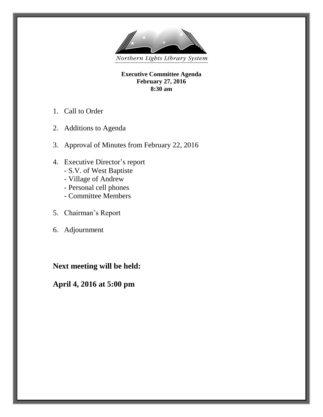

**Executive Committee Agenda February 27, 2016 8:30 am**

- 1. Call to Order
- 2. Additions to Agenda
- 3. Approval of Minutes from February 22, 2016
- 4. Executive Director's report
	- S.V. of West Baptiste
	- Village of Andrew
	- Personal cell phones
	- Committee Members
- 5. Chairman's Report
- 6. Adjournment

# **Next meeting will be held:**

# **April 4, 2016 at 5:00 pm**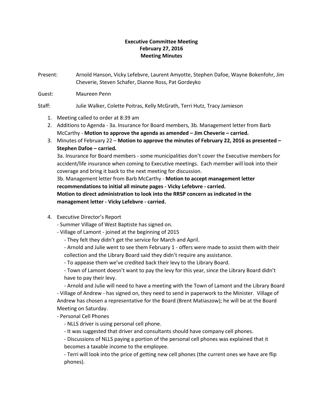### **Executive Committee Meeting February 27, 2016 Meeting Minutes**

Present: Arnold Hanson, Vicky Lefebvre, Laurent Amyotte, Stephen Dafoe, Wayne Bokenfohr, Jim Cheverie, Steven Schafer, Dianne Ross, Pat Gordeyko

Guest: Maureen Penn

#### Staff: Julie Walker, Colette Poitras, Kelly McGrath, Terri Hutz, Tracy Jamieson

- 1. Meeting called to order at 8:39 am
- 2. Additions to Agenda 3a. Insurance for Board members, 3b. Management letter from Barb McCarthy - **Motion to approve the agenda as amended – Jim Cheverie – carried.**
- 3. Minutes of February 22 **Motion to approve the minutes of February 22, 2016 as presented – Stephen Dafoe – carried.**

3a. Insurance for Board members - some municipalities don't cover the Executive members for accident/life insurance when coming to Executive meetings. Each member will look into their coverage and bring it back to the next meeting for discussion.

3b. Management letter from Barb McCarthy - **Motion to accept management letter recommendations to initial all minute pages - Vicky Lefebvre - carried. Motion to direct administration to look into the RRSP concern as indicated in the management letter - Vicky Lefebvre - carried.**

4. Executive Director's Report

- Summer Village of West Baptiste has signed on.

- Village of Lamont joined at the beginning of 2015
	- They felt they didn't get the service for March and April.

- Arnold and Julie went to see them February 1 - offers were made to assist them with their collection and the Library Board said they didn't require any assistance.

- To appease them we've credited back their levy to the Library Board.

- Town of Lamont doesn't want to pay the levy for this year, since the Library Board didn't have to pay their levy.

- Arnold and Julie will need to have a meeting with the Town of Lamont and the Library Board - Village of Andrew - has signed on, they need to send in paperwork to the Minister. Village of Andrew has chosen a representative for the Board (Brent Matiaszow); he will be at the Board Meeting on Saturday.

- Personal Cell Phones

- NLLS driver is using personal cell phone.
- It was suggested that driver and consultants should have company cell phones.

- Discussions of NLLS paying a portion of the personal cell phones was explained that it

becomes a taxable income to the employee.

- Terri will look into the price of getting new cell phones (the current ones we have are flip phones).